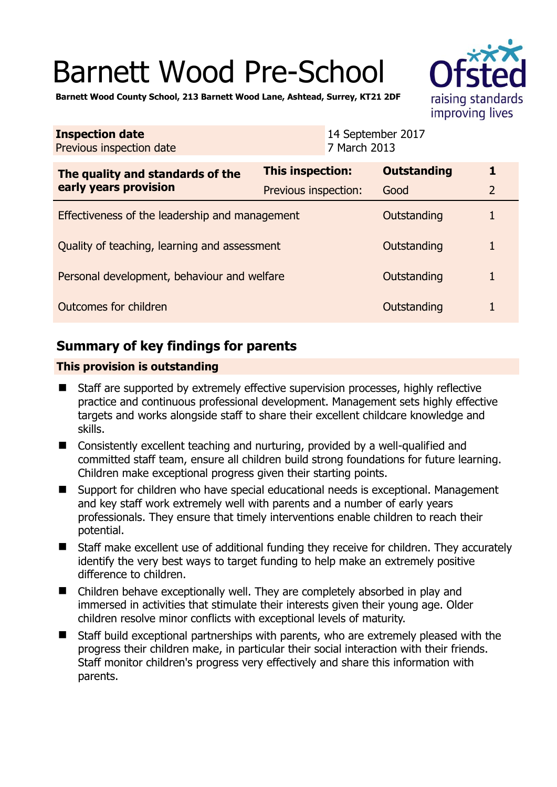# Barnett Wood Pre-School



**Barnett Wood County School, 213 Barnett Wood Lane, Ashtead, Surrey, KT21 2DF** 

| <b>Inspection date</b><br>Previous inspection date        | 7 March 2013            | 14 September 2017  |                |
|-----------------------------------------------------------|-------------------------|--------------------|----------------|
| The quality and standards of the<br>early years provision | <b>This inspection:</b> | <b>Outstanding</b> | 1              |
|                                                           | Previous inspection:    | Good               | $\overline{2}$ |
| Effectiveness of the leadership and management            |                         | Outstanding        |                |
| Quality of teaching, learning and assessment              |                         | Outstanding        | 1              |
| Personal development, behaviour and welfare               |                         | Outstanding        | 1              |
| Outcomes for children                                     |                         | Outstanding        |                |

# **Summary of key findings for parents**

## **This provision is outstanding**

- Staff are supported by extremely effective supervision processes, highly reflective practice and continuous professional development. Management sets highly effective targets and works alongside staff to share their excellent childcare knowledge and skills.
- Consistently excellent teaching and nurturing, provided by a well-qualified and committed staff team, ensure all children build strong foundations for future learning. Children make exceptional progress given their starting points.
- Support for children who have special educational needs is exceptional. Management and key staff work extremely well with parents and a number of early years professionals. They ensure that timely interventions enable children to reach their potential.
- Staff make excellent use of additional funding they receive for children. They accurately identify the very best ways to target funding to help make an extremely positive difference to children.
- Children behave exceptionally well. They are completely absorbed in play and immersed in activities that stimulate their interests given their young age. Older children resolve minor conflicts with exceptional levels of maturity.
- Staff build exceptional partnerships with parents, who are extremely pleased with the progress their children make, in particular their social interaction with their friends. Staff monitor children's progress very effectively and share this information with parents.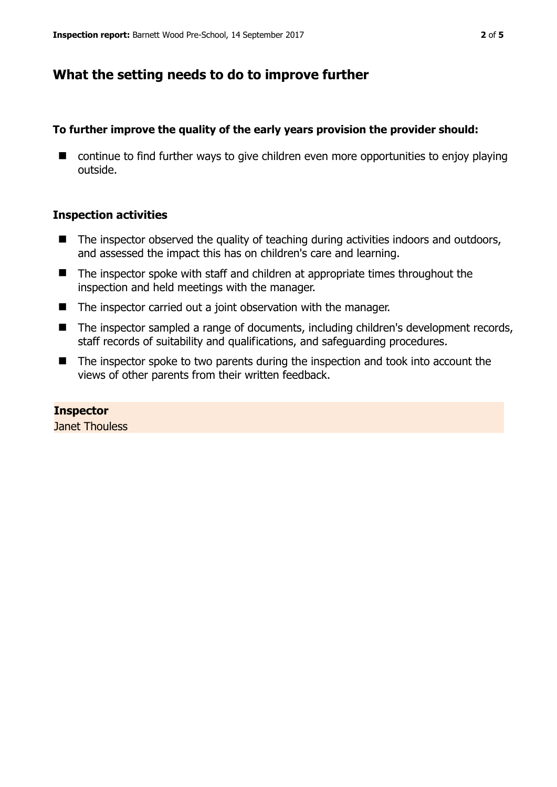# **What the setting needs to do to improve further**

## **To further improve the quality of the early years provision the provider should:**

■ continue to find further ways to give children even more opportunities to enjoy playing outside.

## **Inspection activities**

- $\blacksquare$  The inspector observed the quality of teaching during activities indoors and outdoors, and assessed the impact this has on children's care and learning.
- The inspector spoke with staff and children at appropriate times throughout the inspection and held meetings with the manager.
- The inspector carried out a joint observation with the manager.
- The inspector sampled a range of documents, including children's development records, staff records of suitability and qualifications, and safeguarding procedures.
- The inspector spoke to two parents during the inspection and took into account the views of other parents from their written feedback.

## **Inspector**

Janet Thouless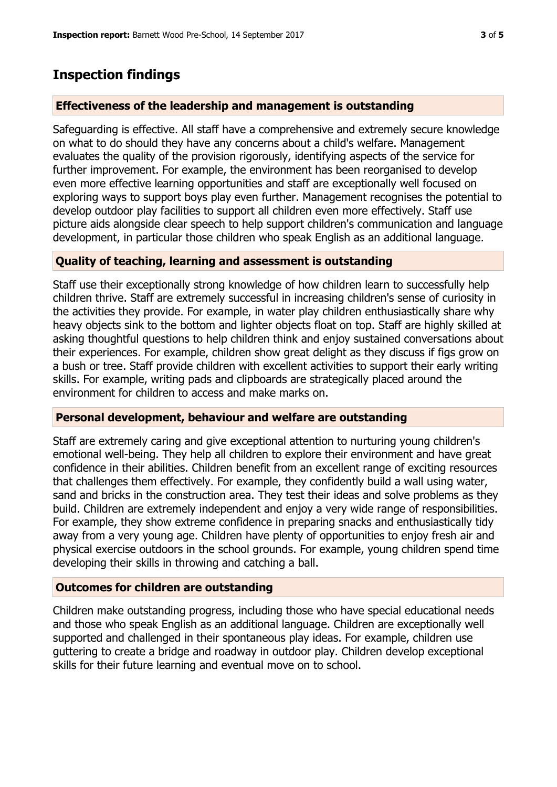# **Inspection findings**

#### **Effectiveness of the leadership and management is outstanding**

Safeguarding is effective. All staff have a comprehensive and extremely secure knowledge on what to do should they have any concerns about a child's welfare. Management evaluates the quality of the provision rigorously, identifying aspects of the service for further improvement. For example, the environment has been reorganised to develop even more effective learning opportunities and staff are exceptionally well focused on exploring ways to support boys play even further. Management recognises the potential to develop outdoor play facilities to support all children even more effectively. Staff use picture aids alongside clear speech to help support children's communication and language development, in particular those children who speak English as an additional language.

## **Quality of teaching, learning and assessment is outstanding**

Staff use their exceptionally strong knowledge of how children learn to successfully help children thrive. Staff are extremely successful in increasing children's sense of curiosity in the activities they provide. For example, in water play children enthusiastically share why heavy objects sink to the bottom and lighter objects float on top. Staff are highly skilled at asking thoughtful questions to help children think and enjoy sustained conversations about their experiences. For example, children show great delight as they discuss if figs grow on a bush or tree. Staff provide children with excellent activities to support their early writing skills. For example, writing pads and clipboards are strategically placed around the environment for children to access and make marks on.

#### **Personal development, behaviour and welfare are outstanding**

Staff are extremely caring and give exceptional attention to nurturing young children's emotional well-being. They help all children to explore their environment and have great confidence in their abilities. Children benefit from an excellent range of exciting resources that challenges them effectively. For example, they confidently build a wall using water, sand and bricks in the construction area. They test their ideas and solve problems as they build. Children are extremely independent and enjoy a very wide range of responsibilities. For example, they show extreme confidence in preparing snacks and enthusiastically tidy away from a very young age. Children have plenty of opportunities to enjoy fresh air and physical exercise outdoors in the school grounds. For example, young children spend time developing their skills in throwing and catching a ball.

#### **Outcomes for children are outstanding**

Children make outstanding progress, including those who have special educational needs and those who speak English as an additional language. Children are exceptionally well supported and challenged in their spontaneous play ideas. For example, children use guttering to create a bridge and roadway in outdoor play. Children develop exceptional skills for their future learning and eventual move on to school.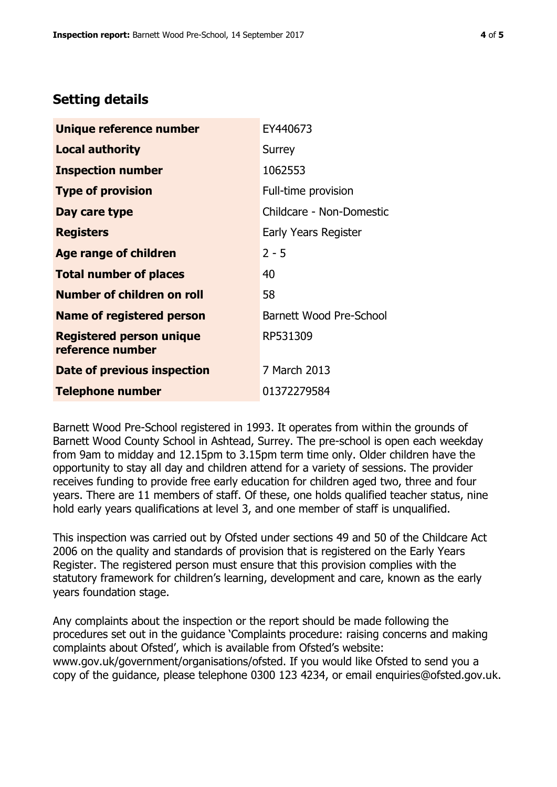# **Setting details**

| Unique reference number                             | EY440673                 |
|-----------------------------------------------------|--------------------------|
| <b>Local authority</b>                              | Surrey                   |
| <b>Inspection number</b>                            | 1062553                  |
| <b>Type of provision</b>                            | Full-time provision      |
| Day care type                                       | Childcare - Non-Domestic |
| <b>Registers</b>                                    | Early Years Register     |
| Age range of children                               | $2 - 5$                  |
| <b>Total number of places</b>                       | 40                       |
| <b>Number of children on roll</b>                   | 58                       |
| <b>Name of registered person</b>                    | Barnett Wood Pre-School  |
| <b>Registered person unique</b><br>reference number | RP531309                 |
| Date of previous inspection                         | 7 March 2013             |
| <b>Telephone number</b>                             | 01372279584              |

Barnett Wood Pre-School registered in 1993. It operates from within the grounds of Barnett Wood County School in Ashtead, Surrey. The pre-school is open each weekday from 9am to midday and 12.15pm to 3.15pm term time only. Older children have the opportunity to stay all day and children attend for a variety of sessions. The provider receives funding to provide free early education for children aged two, three and four years. There are 11 members of staff. Of these, one holds qualified teacher status, nine hold early years qualifications at level 3, and one member of staff is unqualified.

This inspection was carried out by Ofsted under sections 49 and 50 of the Childcare Act 2006 on the quality and standards of provision that is registered on the Early Years Register. The registered person must ensure that this provision complies with the statutory framework for children's learning, development and care, known as the early years foundation stage.

Any complaints about the inspection or the report should be made following the procedures set out in the guidance 'Complaints procedure: raising concerns and making complaints about Ofsted', which is available from Ofsted's website: www.gov.uk/government/organisations/ofsted. If you would like Ofsted to send you a copy of the guidance, please telephone 0300 123 4234, or email enquiries@ofsted.gov.uk.